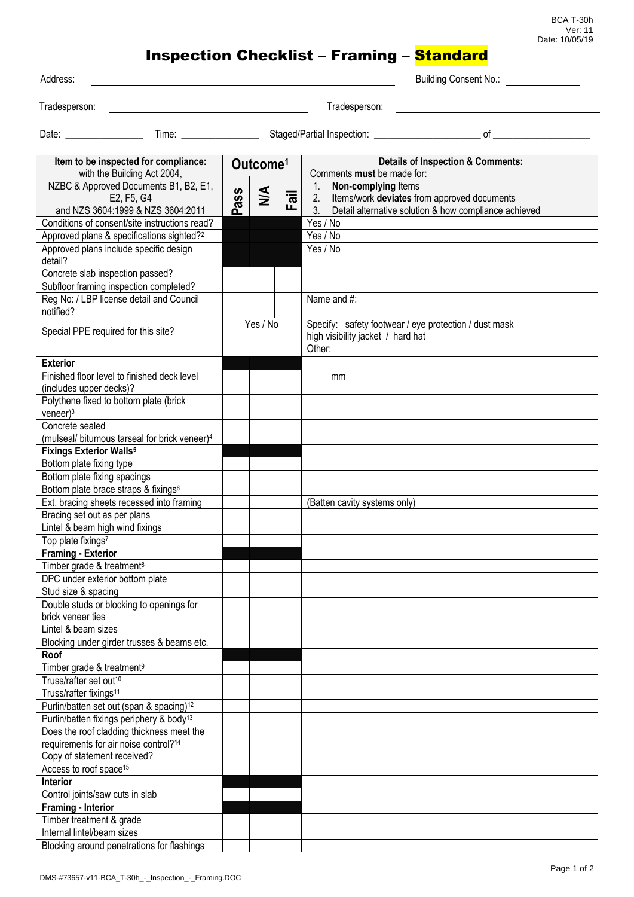BCA T-30h Ver: 11 Date: 10/05/19

## Inspection Checklist – Framing – Standard

| 724uphA |  |
|---------|--|

Building Consent No.:

Tradesperson: Tradesperson:

Date: \_\_\_\_\_\_\_\_\_\_\_\_\_\_\_\_ Time: \_\_\_\_\_\_\_\_\_\_\_\_\_\_\_\_ Staged/Partial Inspection: \_\_\_\_\_\_\_\_\_\_\_\_\_\_\_\_\_\_\_\_\_\_ of \_\_\_\_\_\_\_\_\_\_\_\_\_\_\_\_\_\_\_\_

| Item to be inspected for compliance:                      | Outcome <sup>1</sup> |        |                           | <b>Details of Inspection &amp; Comments:</b>                                                               |
|-----------------------------------------------------------|----------------------|--------|---------------------------|------------------------------------------------------------------------------------------------------------|
| with the Building Act 2004,                               |                      |        |                           | Comments must be made for:                                                                                 |
| NZBC & Approved Documents B1, B2, E1,<br>E2, F5, G4       |                      | $\leq$ | $\overline{\overline{5}}$ | Non-complying Items<br>1.<br>2.                                                                            |
| and NZS 3604:1999 & NZS 3604:2011                         | ass                  |        |                           | Items/work deviates from approved documents<br>3.<br>Detail alternative solution & how compliance achieved |
| Conditions of consent/site instructions read?             | ൨                    |        |                           | Yes / No                                                                                                   |
| Approved plans & specifications sighted? <sup>2</sup>     |                      |        |                           | Yes / No                                                                                                   |
| Approved plans include specific design                    |                      |        |                           | Yes / No                                                                                                   |
| detail?                                                   |                      |        |                           |                                                                                                            |
| Concrete slab inspection passed?                          |                      |        |                           |                                                                                                            |
| Subfloor framing inspection completed?                    |                      |        |                           |                                                                                                            |
| Reg No: / LBP license detail and Council                  |                      |        |                           | Name and #:                                                                                                |
| notified?                                                 |                      |        |                           |                                                                                                            |
|                                                           | Yes / No             |        |                           | Specify: safety footwear / eye protection / dust mask                                                      |
| Special PPE required for this site?                       |                      |        |                           | high visibility jacket / hard hat                                                                          |
|                                                           |                      |        |                           | Other:                                                                                                     |
| <b>Exterior</b>                                           |                      |        |                           |                                                                                                            |
| Finished floor level to finished deck level               |                      |        |                           | mm                                                                                                         |
| (includes upper decks)?                                   |                      |        |                           |                                                                                                            |
| Polythene fixed to bottom plate (brick                    |                      |        |                           |                                                                                                            |
| $veneer$ <sup>3</sup>                                     |                      |        |                           |                                                                                                            |
| Concrete sealed                                           |                      |        |                           |                                                                                                            |
| (mulseal/ bitumous tarseal for brick veneer) <sup>4</sup> |                      |        |                           |                                                                                                            |
| <b>Fixings Exterior Walls<sup>5</sup></b>                 |                      |        |                           |                                                                                                            |
| Bottom plate fixing type                                  |                      |        |                           |                                                                                                            |
| Bottom plate fixing spacings                              |                      |        |                           |                                                                                                            |
| Bottom plate brace straps & fixings <sup>6</sup>          |                      |        |                           |                                                                                                            |
| Ext. bracing sheets recessed into framing                 |                      |        |                           | (Batten cavity systems only)                                                                               |
| Bracing set out as per plans                              |                      |        |                           |                                                                                                            |
| Lintel & beam high wind fixings                           |                      |        |                           |                                                                                                            |
| Top plate fixings7                                        |                      |        |                           |                                                                                                            |
| <b>Framing - Exterior</b>                                 |                      |        |                           |                                                                                                            |
| Timber grade & treatment <sup>8</sup>                     |                      |        |                           |                                                                                                            |
| DPC under exterior bottom plate                           |                      |        |                           |                                                                                                            |
| Stud size & spacing                                       |                      |        |                           |                                                                                                            |
| Double studs or blocking to openings for                  |                      |        |                           |                                                                                                            |
| brick veneer ties<br>Lintel & beam sizes                  |                      |        |                           |                                                                                                            |
| Blocking under girder trusses & beams etc.                |                      |        |                           |                                                                                                            |
| Roof                                                      |                      |        |                           |                                                                                                            |
| Timber grade & treatment <sup>9</sup>                     |                      |        |                           |                                                                                                            |
| Truss/rafter set out <sup>10</sup>                        |                      |        |                           |                                                                                                            |
| Truss/rafter fixings <sup>11</sup>                        |                      |        |                           |                                                                                                            |
| Purlin/batten set out (span & spacing) <sup>12</sup>      |                      |        |                           |                                                                                                            |
| Purlin/batten fixings periphery & body <sup>13</sup>      |                      |        |                           |                                                                                                            |
| Does the roof cladding thickness meet the                 |                      |        |                           |                                                                                                            |
| requirements for air noise control? <sup>14</sup>         |                      |        |                           |                                                                                                            |
| Copy of statement received?                               |                      |        |                           |                                                                                                            |
| Access to roof space <sup>15</sup>                        |                      |        |                           |                                                                                                            |
| Interior                                                  |                      |        |                           |                                                                                                            |
| Control joints/saw cuts in slab                           |                      |        |                           |                                                                                                            |
| Framing - Interior                                        |                      |        |                           |                                                                                                            |
| Timber treatment & grade                                  |                      |        |                           |                                                                                                            |
| Internal lintel/beam sizes                                |                      |        |                           |                                                                                                            |
| Blocking around penetrations for flashings                |                      |        |                           |                                                                                                            |